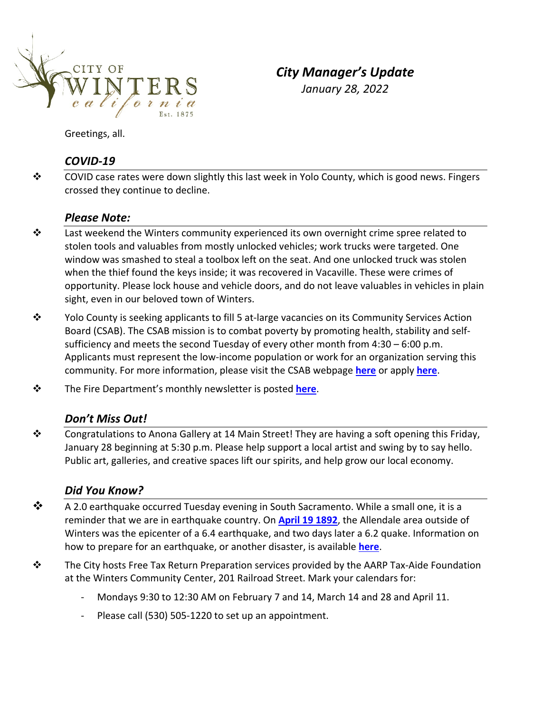

*City Manager's Update January 28, 2022*

Greetings, all.

## *COVID‐19*

◆ COVID case rates were down slightly this last week in Yolo County, which is good news. Fingers crossed they continue to decline.

### *Please Note:*

- $\mathbf{\hat{P}}$  Last weekend the Winters community experienced its own overnight crime spree related to stolen tools and valuables from mostly unlocked vehicles; work trucks were targeted. One window was smashed to steal a toolbox left on the seat. And one unlocked truck was stolen when the thief found the keys inside; it was recovered in Vacaville. These were crimes of opportunity. Please lock house and vehicle doors, and do not leave valuables in vehicles in plain sight, even in our beloved town of Winters.
- $\dots$  Yolo County is seeking applicants to fill 5 at-large vacancies on its Community Services Action Board (CSAB). The CSAB mission is to combat poverty by promoting health, stability and self‐ sufficiency and meets the second Tuesday of every other month from 4:30 – 6:00 p.m. Applicants must represent the low‐income population or work for an organization serving this community. For more information, please visit the CSAB webpage **[here](https://www.yolocounty.org/government/general-government-departments/health-human-services/boards-committees/community-services-action-board/-toggle-all/-npage-2)** or apply **[here](https://www.yolocounty.org/government/board-of-supervisors/advisory-bodies)**.
- The Fire Department's monthly newsletter is posted **[here](http://www.wintersfire.org/wp-content/uploads/2022/01/WFD-2021-December-Newsletter.pdf)**.

#### *Don't Miss Out!*

 Congratulations to Anona Gallery at 14 Main Street! They are having a soft opening this Friday, January 28 beginning at 5:30 p.m. Please help support a local artist and swing by to say hello. Public art, galleries, and creative spaces lift our spirits, and help grow our local economy.

### *Did You Know?*

- $\clubsuit$  A 2.0 earthquake occurred Tuesday evening in South Sacramento. While a small one, it is a reminder that we are in earthquake country. On **April 19 [1892](https://www.wintersexpress.com/archived/winters-historic-earthquake-1892)**, the Allendale area outside of Winters was the epicenter of a 6.4 earthquake, and two days later a 6.2 quake. Information on how to prepare for an earthquake, or another disaster, is available **[here](https://www.earthquakeauthority.com/Blog/2019/How-to-Make-an-Earthquake-Emergency-Kit)**.
- The City hosts Free Tax Return Preparation services provided by the AARP Tax‐Aide Foundation at the Winters Community Center, 201 Railroad Street. Mark your calendars for:
	- ‐ Mondays 9:30 to 12:30 AM on February 7 and 14, March 14 and 28 and April 11.
	- ‐ Please call (530) 505‐1220 to set up an appointment.